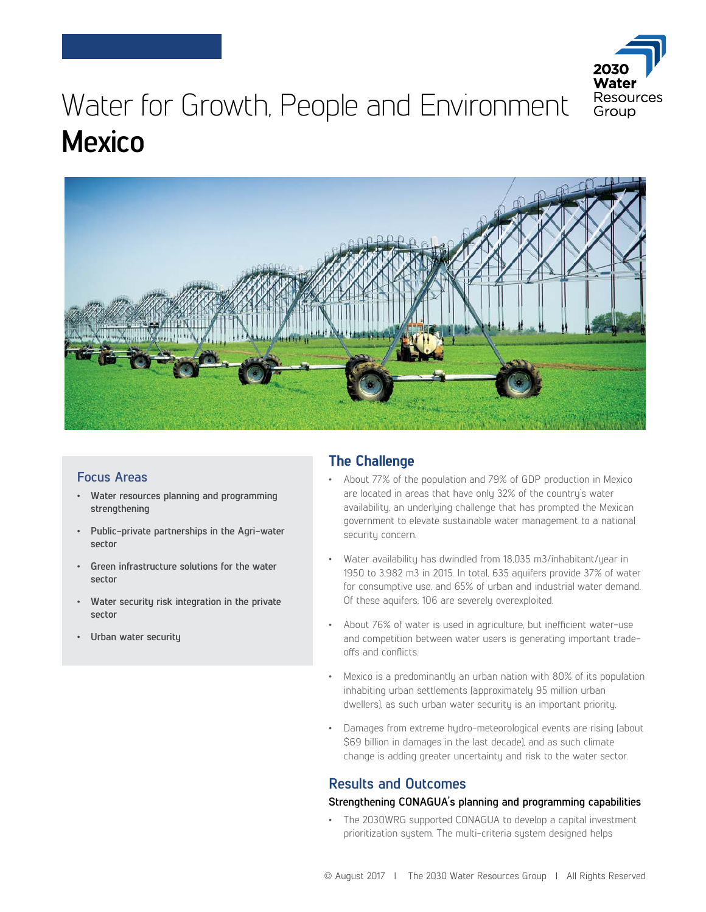

# Water for Growth, People and Environment **Mexico**



# **Focus Areas**

- **Water resources planning and programming strengthening**
- **Public-private partnerships in the Agri-water sector**
- **Green infrastructure solutions for the water sector**
- **Water security risk integration in the private sector**
- **Urban water security**

# **The Challenge**

- About 77% of the population and 79% of GDP production in Mexico are located in areas that have only 32% of the country's water availability, an underlying challenge that has prompted the Mexican government to elevate sustainable water management to a national security concern.
- Water availability has dwindled from 18,035 m3/inhabitant/year in 1950 to 3,982 m3 in 2015. In total, 635 aquifers provide 37% of water for consumptive use, and 65% of urban and industrial water demand. Of these aquifers, 106 are severely overexploited.
- About 76% of water is used in agriculture, but inefficient water-use and competition between water users is generating important tradeoffs and conflicts.
- Mexico is a predominantly an urban nation with 80% of its population inhabiting urban settlements (approximately 95 million urban dwellers), as such urban water security is an important priority.
- Damages from extreme hydro-meteorological events are rising (about \$69 billion in damages in the last decade), and as such climate change is adding greater uncertainty and risk to the water sector.

# **Results and Outcomes**

# **Strengthening CONAGUA's planning and programming capabilities**

• The 2030WRG supported CONAGUA to develop a capital investment prioritization system. The multi-criteria system designed helps